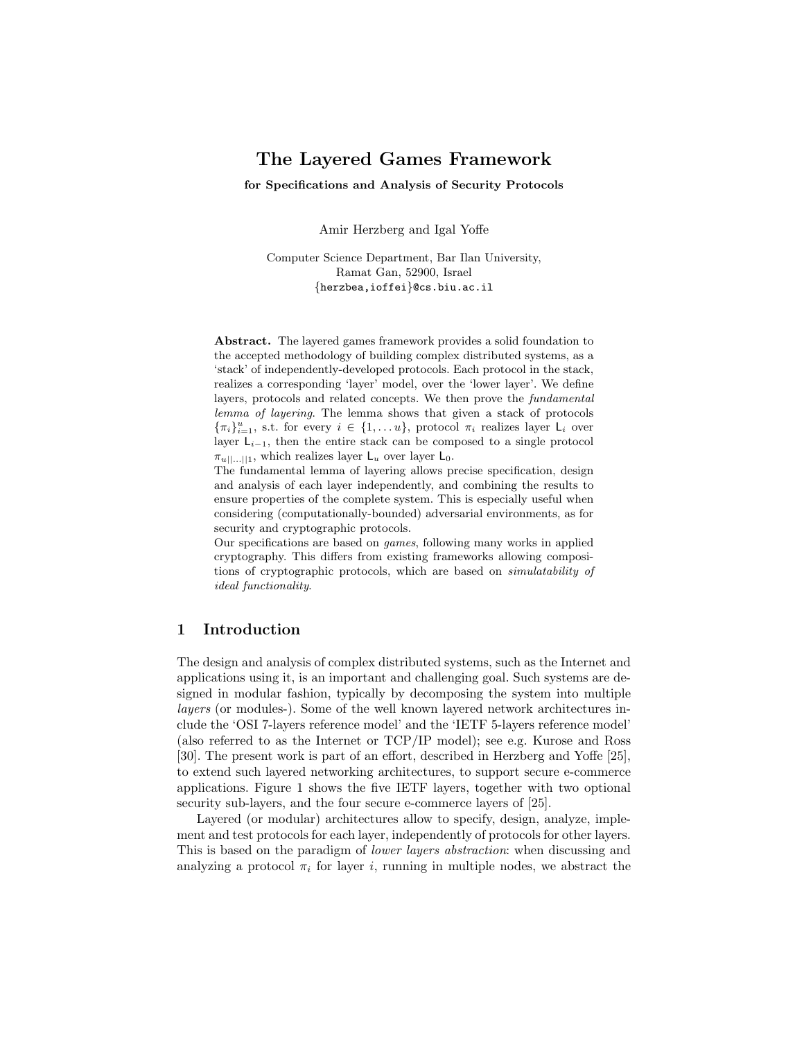# The Layered Games Framework

for Specifications and Analysis of Security Protocols

Amir Herzberg and Igal Yoffe

Computer Science Department, Bar Ilan University, Ramat Gan, 52900, Israel {herzbea,ioffei}@cs.biu.ac.il

Abstract. The layered games framework provides a solid foundation to the accepted methodology of building complex distributed systems, as a 'stack' of independently-developed protocols. Each protocol in the stack, realizes a corresponding 'layer' model, over the 'lower layer'. We define layers, protocols and related concepts. We then prove the fundamental lemma of layering. The lemma shows that given a stack of protocols  ${\{\pi_i\}}_{i=1}^u$ , s.t. for every  $i \in \{1,\ldots,u\}$ , protocol  $\pi_i$  realizes layer  $\mathsf{L}_i$  over layer  $L_{i-1}$ , then the entire stack can be composed to a single protocol  $\pi_{u||...||1}$ , which realizes layer  $\mathsf{L}_u$  over layer  $\mathsf{L}_0$ .

The fundamental lemma of layering allows precise specification, design and analysis of each layer independently, and combining the results to ensure properties of the complete system. This is especially useful when considering (computationally-bounded) adversarial environments, as for security and cryptographic protocols.

Our specifications are based on games, following many works in applied cryptography. This differs from existing frameworks allowing compositions of cryptographic protocols, which are based on simulatability of ideal functionality.

## 1 Introduction

The design and analysis of complex distributed systems, such as the Internet and applications using it, is an important and challenging goal. Such systems are designed in modular fashion, typically by decomposing the system into multiple layers (or modules-). Some of the well known layered network architectures include the 'OSI 7-layers reference model' and the 'IETF 5-layers reference model' (also referred to as the Internet or TCP/IP model); see e.g. Kurose and Ross [30]. The present work is part of an effort, described in Herzberg and Yoffe [25], to extend such layered networking architectures, to support secure e-commerce applications. Figure 1 shows the five IETF layers, together with two optional security sub-layers, and the four secure e-commerce layers of [25].

Layered (or modular) architectures allow to specify, design, analyze, implement and test protocols for each layer, independently of protocols for other layers. This is based on the paradigm of lower layers abstraction: when discussing and analyzing a protocol  $\pi_i$  for layer i, running in multiple nodes, we abstract the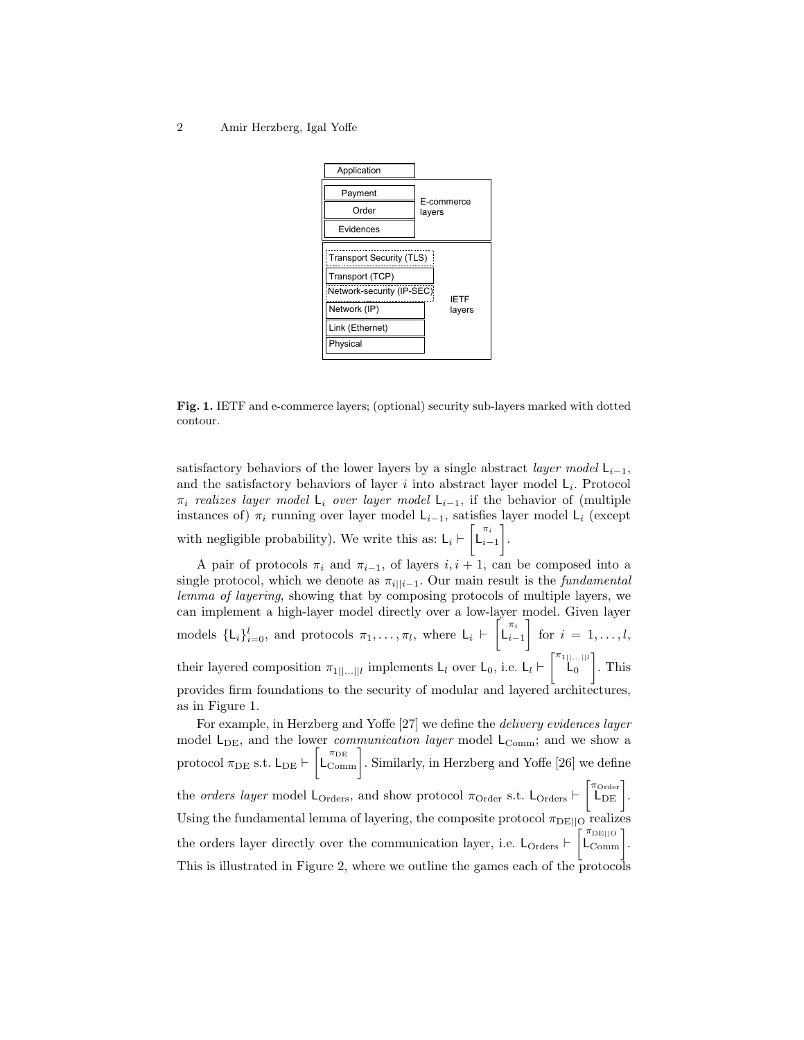

Fig. 1. IETF and e-commerce layers; (optional) security sub-layers marked with dotted contour.

satisfactory behaviors of the lower layers by a single abstract *layer model*  $L_{i-1}$ , and the satisfactory behaviors of layer  $i$  into abstract layer model  $\mathsf{L}_i$ . Protocol  $\pi_i$  realizes layer model L<sub>i</sub> over layer model L<sub>i–1</sub>, if the behavior of (multiple instances of)  $\pi_i$  running over layer model L<sub>i−1</sub>, satisfies layer model L<sub>i</sub> (except with negligible probability). We write this as:  $L_i \vdash \begin{bmatrix} \pi_i \\ L_{i-1} \end{bmatrix}$ .

A pair of protocols  $\pi_i$  and  $\pi_{i-1}$ , of layers  $i, i + 1$ , can be composed into a single protocol, which we denote as  $\pi_{i||i-1}$ . Our main result is the *fundamental* lemma of layering, showing that by composing protocols of multiple layers, we can implement a high-layer model directly over a low-layer model. Given layer models  $\{L_i\}_{i=0}^l$ , and protocols  $\pi_1, \ldots, \pi_l$ , where  $L_i \vdash \begin{bmatrix} \pi_i \\ L_{i-1} \end{bmatrix}$  for  $i = 1, \ldots, l$ , their layered composition  $\pi_{1|...||l}$  implements  $L_l$  over  $L_0$ , i.e.  $L_l \vdash \begin{bmatrix} \pi_{1|...||l} \\ L_0 \end{bmatrix}$ . This provides firm foundations to the security of modular and layered architectures, as in Figure 1.

For example, in Herzberg and Yoffe [27] we define the delivery evidences layer model  $L_{DE}$ , and the lower *communication layer* model  $L_{Comm}$ ; and we show a protocol  $\pi_{\text{DE}}$  s.t.  $L_{\text{DE}} \vdash \left[ L_{\text{Comm}}^{\pi_{\text{DE}}} \right]$ . Similarly, in Herzberg and Yoffe [26] we define the *orders layer* model  $L_{\text{Orders}}$ , and show protocol  $\pi_{\text{Order}}$  s.t.  $L_{\text{Orders}} \vdash \begin{bmatrix} \pi_{\text{Order}} \\ L_{\text{DE}} \end{bmatrix}$ . Using the fundamental lemma of layering, the composite protocol  $\pi_{\text{DE}||\text{O}}$  realizes the orders layer directly over the communication layer, i.e.  $L_{\text{Orders}} \vdash \begin{bmatrix} \pi_{\text{DE}||\text{O}} \\ L_{\text{Comm}} \end{bmatrix}$ . This is illustrated in Figure 2, where we outline the games each of the protocols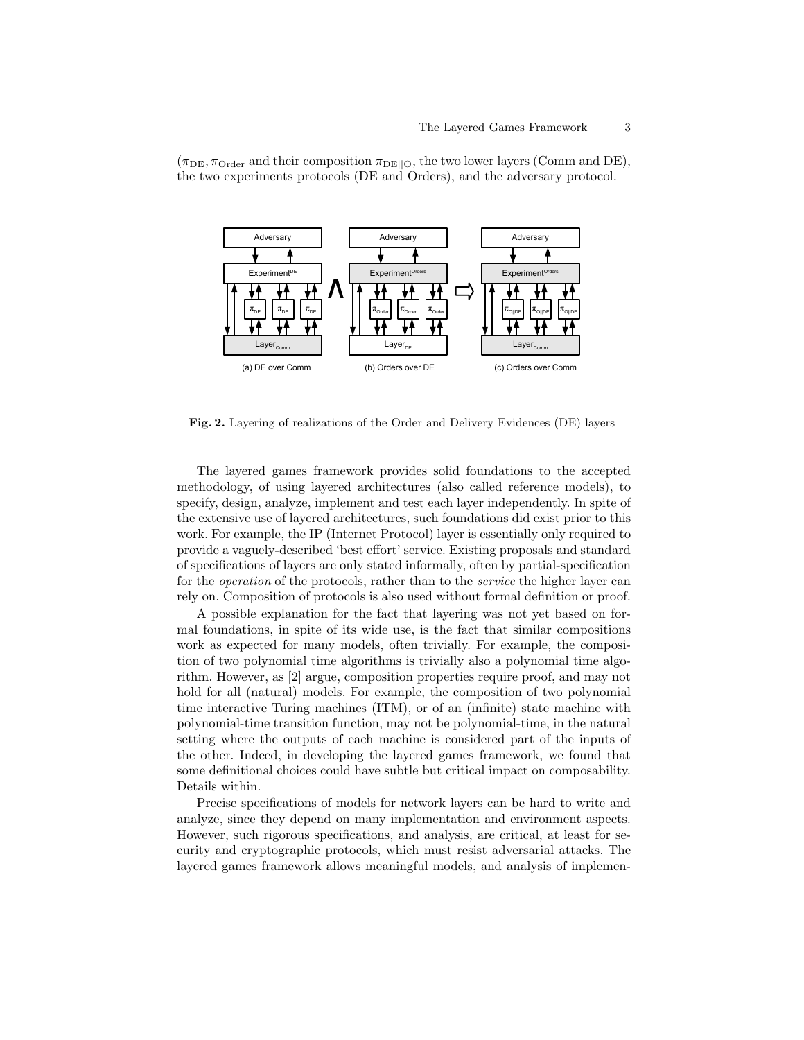

 $(\pi_{DE}, \pi_{Order} \text{ and their composition } \pi_{DE||O},$  the two lower layers (Comm and DE), the two experiments protocols (DE and Orders), and the adversary protocol.

Fig. 2. Layering of realizations of the Order and Delivery Evidences (DE) layers

The layered games framework provides solid foundations to the accepted methodology, of using layered architectures (also called reference models), to specify, design, analyze, implement and test each layer independently. In spite of the extensive use of layered architectures, such foundations did exist prior to this work. For example, the IP (Internet Protocol) layer is essentially only required to provide a vaguely-described 'best effort' service. Existing proposals and standard of specifications of layers are only stated informally, often by partial-specification for the operation of the protocols, rather than to the service the higher layer can rely on. Composition of protocols is also used without formal definition or proof.

A possible explanation for the fact that layering was not yet based on formal foundations, in spite of its wide use, is the fact that similar compositions work as expected for many models, often trivially. For example, the composition of two polynomial time algorithms is trivially also a polynomial time algorithm. However, as [2] argue, composition properties require proof, and may not hold for all (natural) models. For example, the composition of two polynomial time interactive Turing machines (ITM), or of an (infinite) state machine with polynomial-time transition function, may not be polynomial-time, in the natural setting where the outputs of each machine is considered part of the inputs of the other. Indeed, in developing the layered games framework, we found that some definitional choices could have subtle but critical impact on composability. Details within.

Precise specifications of models for network layers can be hard to write and analyze, since they depend on many implementation and environment aspects. However, such rigorous specifications, and analysis, are critical, at least for security and cryptographic protocols, which must resist adversarial attacks. The layered games framework allows meaningful models, and analysis of implemen-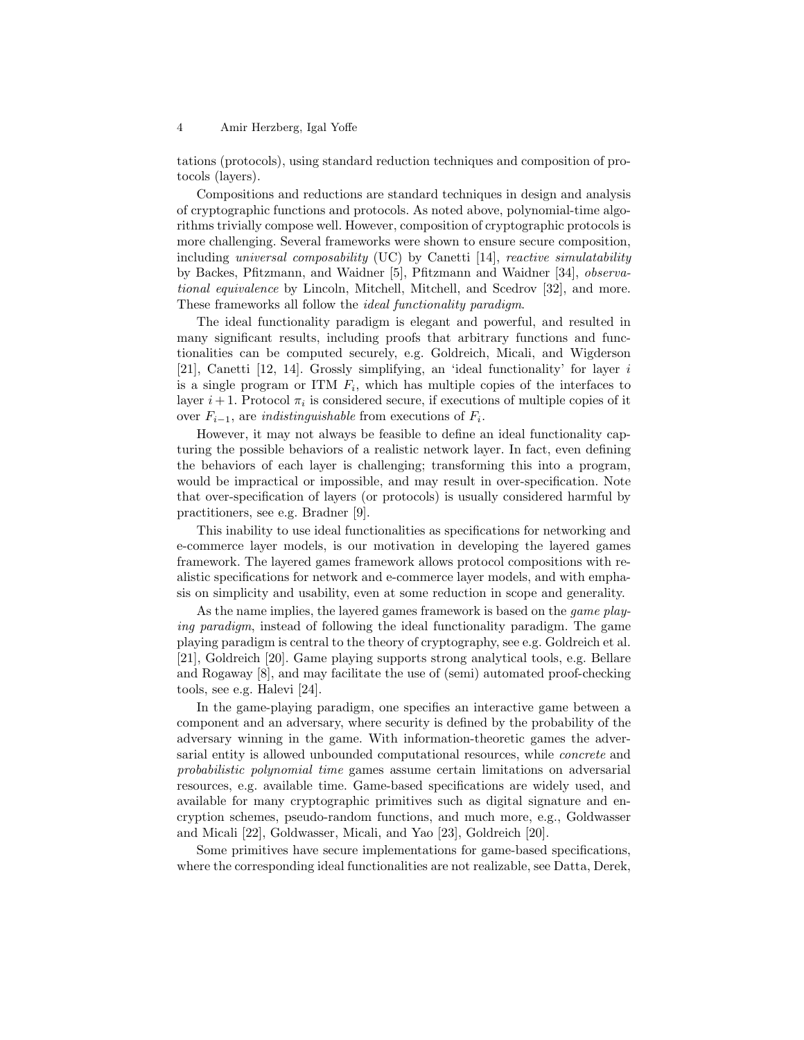tations (protocols), using standard reduction techniques and composition of protocols (layers).

Compositions and reductions are standard techniques in design and analysis of cryptographic functions and protocols. As noted above, polynomial-time algorithms trivially compose well. However, composition of cryptographic protocols is more challenging. Several frameworks were shown to ensure secure composition, including universal composability (UC) by Canetti [14], reactive simulatability by Backes, Pfitzmann, and Waidner [5], Pfitzmann and Waidner [34], observational equivalence by Lincoln, Mitchell, Mitchell, and Scedrov [32], and more. These frameworks all follow the *ideal functionality paradigm*.

The ideal functionality paradigm is elegant and powerful, and resulted in many significant results, including proofs that arbitrary functions and functionalities can be computed securely, e.g. Goldreich, Micali, and Wigderson [21], Canetti [12, 14]. Grossly simplifying, an 'ideal functionality' for layer i is a single program or ITM  $F_i$ , which has multiple copies of the interfaces to layer  $i+1$ . Protocol  $\pi_i$  is considered secure, if executions of multiple copies of it over  $F_{i-1}$ , are *indistinguishable* from executions of  $F_i$ .

However, it may not always be feasible to define an ideal functionality capturing the possible behaviors of a realistic network layer. In fact, even defining the behaviors of each layer is challenging; transforming this into a program, would be impractical or impossible, and may result in over-specification. Note that over-specification of layers (or protocols) is usually considered harmful by practitioners, see e.g. Bradner [9].

This inability to use ideal functionalities as specifications for networking and e-commerce layer models, is our motivation in developing the layered games framework. The layered games framework allows protocol compositions with realistic specifications for network and e-commerce layer models, and with emphasis on simplicity and usability, even at some reduction in scope and generality.

As the name implies, the layered games framework is based on the *game play*ing paradigm, instead of following the ideal functionality paradigm. The game playing paradigm is central to the theory of cryptography, see e.g. Goldreich et al. [21], Goldreich [20]. Game playing supports strong analytical tools, e.g. Bellare and Rogaway [8], and may facilitate the use of (semi) automated proof-checking tools, see e.g. Halevi [24].

In the game-playing paradigm, one specifies an interactive game between a component and an adversary, where security is defined by the probability of the adversary winning in the game. With information-theoretic games the adversarial entity is allowed unbounded computational resources, while concrete and probabilistic polynomial time games assume certain limitations on adversarial resources, e.g. available time. Game-based specifications are widely used, and available for many cryptographic primitives such as digital signature and encryption schemes, pseudo-random functions, and much more, e.g., Goldwasser and Micali [22], Goldwasser, Micali, and Yao [23], Goldreich [20].

Some primitives have secure implementations for game-based specifications, where the corresponding ideal functionalities are not realizable, see Datta, Derek,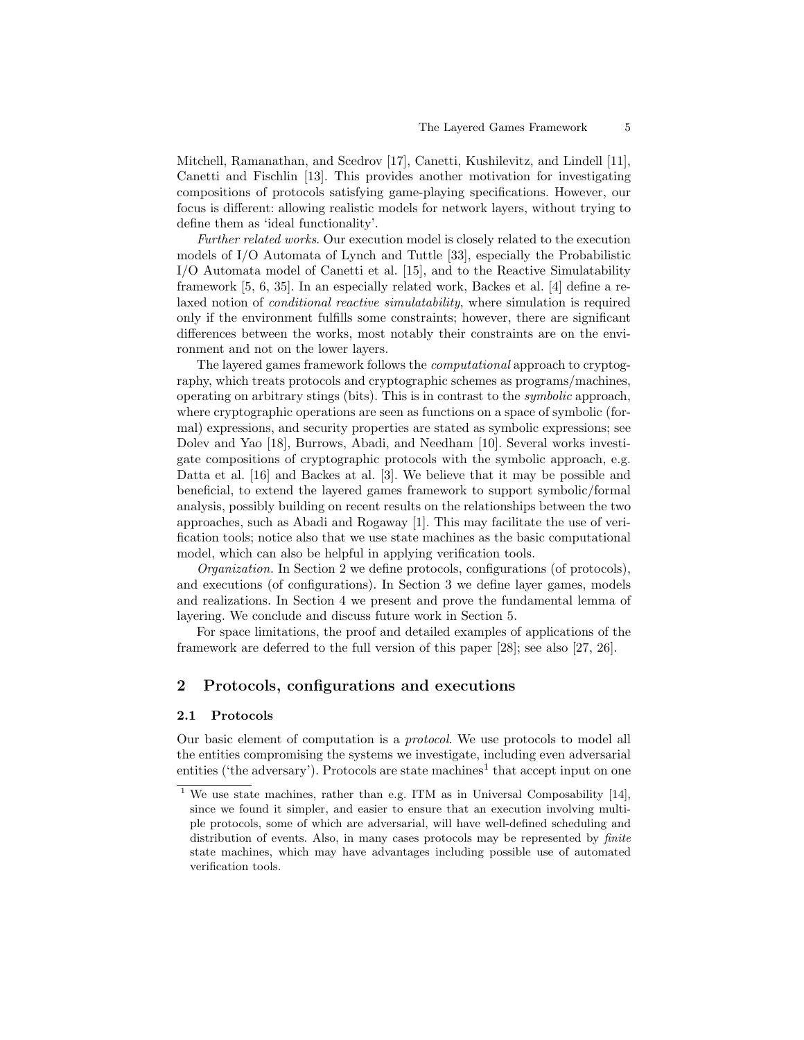Mitchell, Ramanathan, and Scedrov [17], Canetti, Kushilevitz, and Lindell [11], Canetti and Fischlin [13]. This provides another motivation for investigating compositions of protocols satisfying game-playing specifications. However, our focus is different: allowing realistic models for network layers, without trying to define them as 'ideal functionality'.

Further related works. Our execution model is closely related to the execution models of I/O Automata of Lynch and Tuttle [33], especially the Probabilistic I/O Automata model of Canetti et al. [15], and to the Reactive Simulatability framework [5, 6, 35]. In an especially related work, Backes et al. [4] define a relaxed notion of *conditional reactive simulatability*, where simulation is required only if the environment fulfills some constraints; however, there are significant differences between the works, most notably their constraints are on the environment and not on the lower layers.

The layered games framework follows the computational approach to cryptography, which treats protocols and cryptographic schemes as programs/machines, operating on arbitrary stings (bits). This is in contrast to the symbolic approach, where cryptographic operations are seen as functions on a space of symbolic (formal) expressions, and security properties are stated as symbolic expressions; see Dolev and Yao [18], Burrows, Abadi, and Needham [10]. Several works investigate compositions of cryptographic protocols with the symbolic approach, e.g. Datta et al. [16] and Backes at al. [3]. We believe that it may be possible and beneficial, to extend the layered games framework to support symbolic/formal analysis, possibly building on recent results on the relationships between the two approaches, such as Abadi and Rogaway [1]. This may facilitate the use of verification tools; notice also that we use state machines as the basic computational model, which can also be helpful in applying verification tools.

Organization. In Section 2 we define protocols, configurations (of protocols), and executions (of configurations). In Section 3 we define layer games, models and realizations. In Section 4 we present and prove the fundamental lemma of layering. We conclude and discuss future work in Section 5.

For space limitations, the proof and detailed examples of applications of the framework are deferred to the full version of this paper [28]; see also [27, 26].

# 2 Protocols, configurations and executions

#### 2.1 Protocols

Our basic element of computation is a protocol. We use protocols to model all the entities compromising the systems we investigate, including even adversarial entities ('the adversary'). Protocols are state machines<sup>1</sup> that accept input on one

<sup>&</sup>lt;sup>1</sup> We use state machines, rather than e.g. ITM as in Universal Composability [14], since we found it simpler, and easier to ensure that an execution involving multiple protocols, some of which are adversarial, will have well-defined scheduling and distribution of events. Also, in many cases protocols may be represented by *finite* state machines, which may have advantages including possible use of automated verification tools.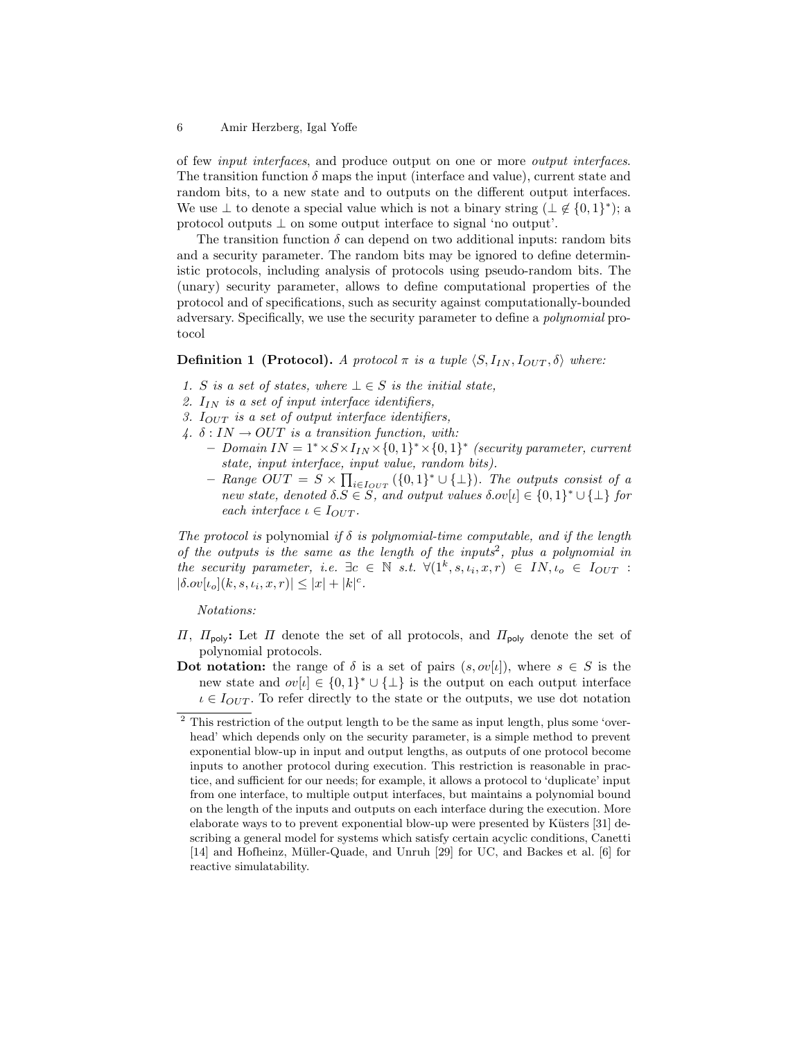of few input interfaces, and produce output on one or more output interfaces. The transition function  $\delta$  maps the input (interface and value), current state and random bits, to a new state and to outputs on the different output interfaces. We use  $\perp$  to denote a special value which is not a binary string  $(\perp \notin \{0,1\}^*)$ ; a protocol outputs ⊥ on some output interface to signal 'no output'.

The transition function  $\delta$  can depend on two additional inputs: random bits and a security parameter. The random bits may be ignored to define deterministic protocols, including analysis of protocols using pseudo-random bits. The (unary) security parameter, allows to define computational properties of the protocol and of specifications, such as security against computationally-bounded adversary. Specifically, we use the security parameter to define a polynomial protocol

### **Definition 1 (Protocol).** A protocol  $\pi$  is a tuple  $\langle S, I_{IN}, I_{OUT}, \delta \rangle$  where:

- 1. S is a set of states, where  $\bot \in S$  is the initial state,
- 2.  $I_{IN}$  is a set of input interface identifiers,
- 3.  $I_{OUT}$  is a set of output interface identifiers,
- 4.  $\delta$ : IN  $\rightarrow$  OUT is a transition function, with:
	- $-$  Domain IN = 1<sup>\*</sup> ×  $S \times I_{IN} \times \{0,1\}^*$  (security parameter, current state, input interface, input value, random bits).
		- Range  $OUT = S \times \prod_{i \in I_{OUT}} (\{0,1\}^* \cup \{\bot\})$ . The outputs consist of a new state, denoted  $\delta.S \in S$ , and output values  $\delta.\text{ov}[t] \in \{0,1\}^* \cup \{\perp\}$  for each interface  $\iota \in I_{OUT}$ .

The protocol is polynomial if  $\delta$  is polynomial-time computable, and if the length of the outputs is the same as the length of the inputs<sup>2</sup>, plus a polynomial in the security parameter, i.e.  $\exists c \in \mathbb{N} \ s.t. \ \forall (1^k, s, \iota_i, x, r) \in IN, \iota_o \in I_{OUT} :$  $|\delta . \overline{ov}[\iota_o](k, s, \iota_i, x, r)| \leq |x| + |k|^c$ .

### Notations:

- $\Pi$ ,  $\Pi$ <sub>poly</sub>: Let  $\Pi$  denote the set of all protocols, and  $\Pi$ <sub>poly</sub> denote the set of polynomial protocols.
- Dot notation: the range of  $\delta$  is a set of pairs  $(s, o\nu[\iota])$ , where  $s \in S$  is the new state and  $ov[i] \in \{0,1\}^* \cup \{\perp\}$  is the output on each output interface  $i \in I_{OUT}$ . To refer directly to the state or the outputs, we use dot notation

 $2$  This restriction of the output length to be the same as input length, plus some 'overhead' which depends only on the security parameter, is a simple method to prevent exponential blow-up in input and output lengths, as outputs of one protocol become inputs to another protocol during execution. This restriction is reasonable in practice, and sufficient for our needs; for example, it allows a protocol to 'duplicate' input from one interface, to multiple output interfaces, but maintains a polynomial bound on the length of the inputs and outputs on each interface during the execution. More elaborate ways to to prevent exponential blow-up were presented by Küsters [31] describing a general model for systems which satisfy certain acyclic conditions, Canetti [14] and Hofheinz, M¨uller-Quade, and Unruh [29] for UC, and Backes et al. [6] for reactive simulatability.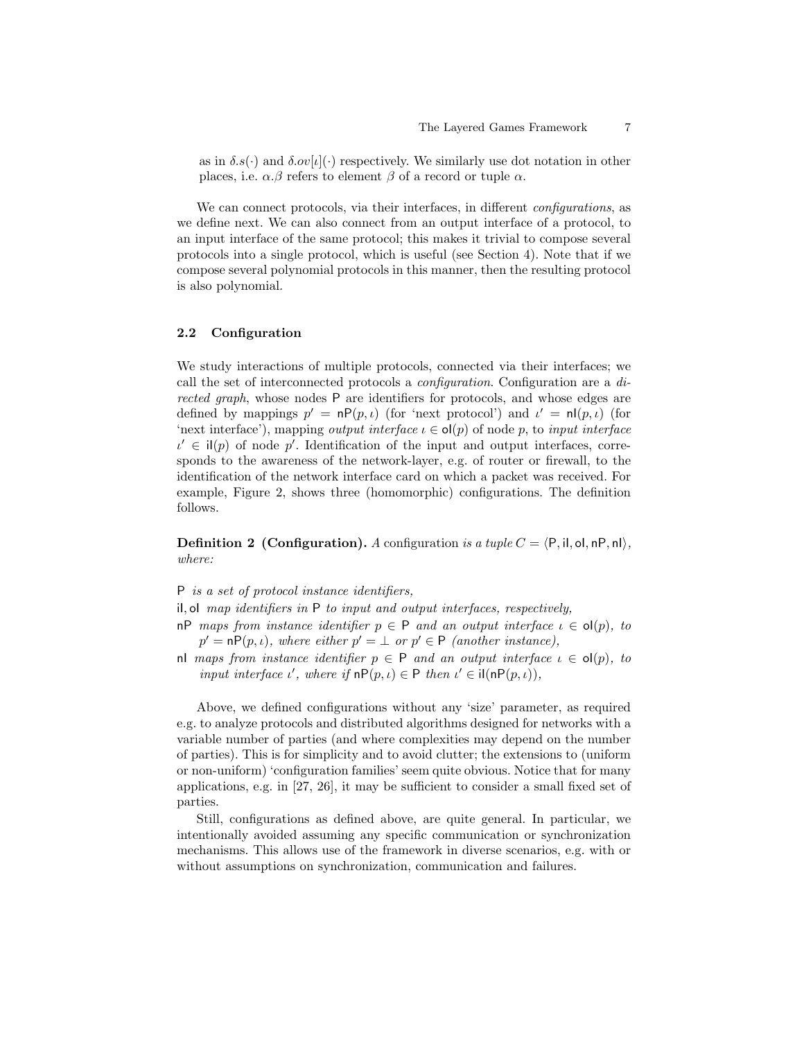as in  $\delta s(\cdot)$  and  $\delta \omega[\iota](\cdot)$  respectively. We similarly use dot notation in other places, i.e.  $\alpha.\beta$  refers to element  $\beta$  of a record or tuple  $\alpha$ .

We can connect protocols, via their interfaces, in different configurations, as we define next. We can also connect from an output interface of a protocol, to an input interface of the same protocol; this makes it trivial to compose several protocols into a single protocol, which is useful (see Section 4). Note that if we compose several polynomial protocols in this manner, then the resulting protocol is also polynomial.

### 2.2 Configuration

We study interactions of multiple protocols, connected via their interfaces; we call the set of interconnected protocols a configuration. Configuration are a directed graph, whose nodes P are identifiers for protocols, and whose edges are defined by mappings  $p' = nP(p, \iota)$  (for 'next protocol') and  $\iota' = nI(p, \iota)$  (for 'next interface'), mapping *output interface*  $\iota \in \text{ol}(p)$  of node p, to *input interface*  $u' \in \mathrm{il}(p)$  of node p'. Identification of the input and output interfaces, corresponds to the awareness of the network-layer, e.g. of router or firewall, to the identification of the network interface card on which a packet was received. For example, Figure 2, shows three (homomorphic) configurations. The definition follows.

**Definition 2 (Configuration).** A configuration is a tuple  $C = \langle P, \text{il}, \text{ol}, \text{nP}, \text{nl} \rangle$ , where:

P is a set of protocol instance identifiers,

iI, oI map identifiers in P to input and output interfaces, respectively,

nP maps from instance identifier  $p \in P$  and an output interface  $\iota \in o(p)$ , to  $p' = nP(p, \iota)$ , where either  $p' = \bot$  or  $p' \in P$  (another instance),

nl maps from instance identifier  $p \in P$  and an output interface  $\iota \in ol(p)$ , to input interface  $\iota'$ , where if  $nP(p, \iota) \in P$  then  $\iota' \in \mathrm{il}(nP(p, \iota)),$ 

Above, we defined configurations without any 'size' parameter, as required e.g. to analyze protocols and distributed algorithms designed for networks with a variable number of parties (and where complexities may depend on the number of parties). This is for simplicity and to avoid clutter; the extensions to (uniform or non-uniform) 'configuration families' seem quite obvious. Notice that for many applications, e.g. in [27, 26], it may be sufficient to consider a small fixed set of parties.

Still, configurations as defined above, are quite general. In particular, we intentionally avoided assuming any specific communication or synchronization mechanisms. This allows use of the framework in diverse scenarios, e.g. with or without assumptions on synchronization, communication and failures.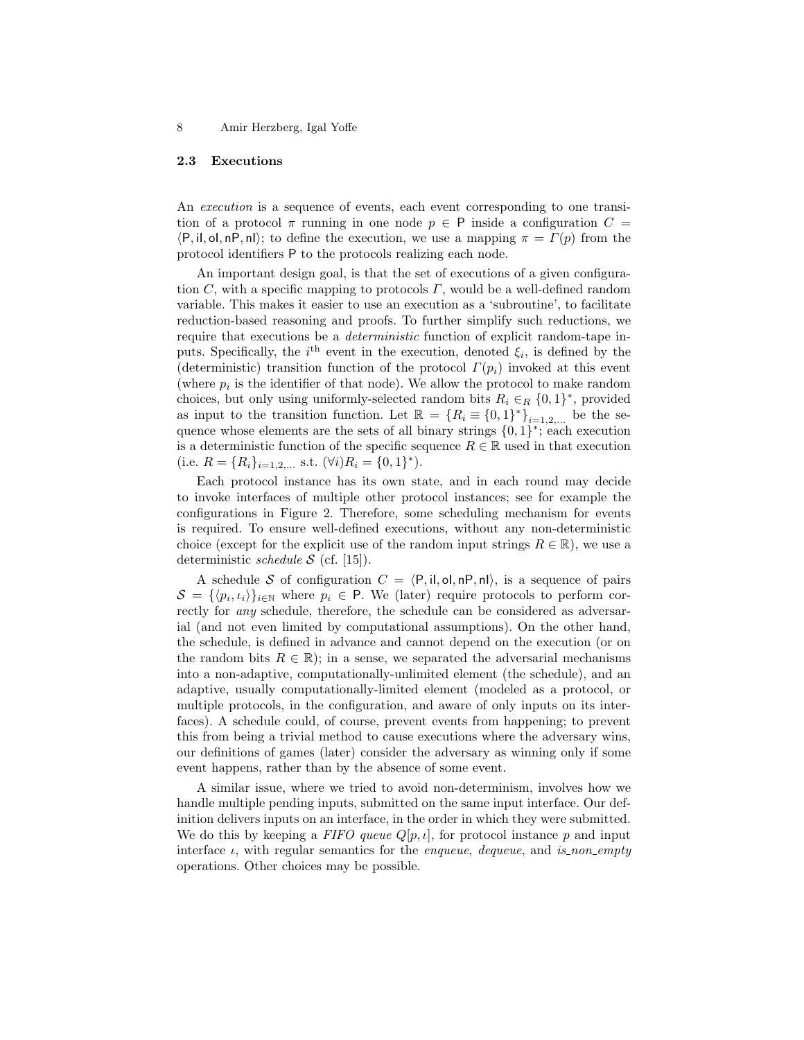#### 2.3 Executions

An *execution* is a sequence of events, each event corresponding to one transition of a protocol  $\pi$  running in one node  $p \in P$  inside a configuration  $C =$  $\langle P, \mathsf{il}, \mathsf{ol}, \mathsf{nP}, \mathsf{nl} \rangle$ ; to define the execution, we use a mapping  $\pi = \Gamma(p)$  from the protocol identifiers P to the protocols realizing each node.

An important design goal, is that the set of executions of a given configuration  $C$ , with a specific mapping to protocols  $\Gamma$ , would be a well-defined random variable. This makes it easier to use an execution as a 'subroutine', to facilitate reduction-based reasoning and proofs. To further simplify such reductions, we require that executions be a deterministic function of explicit random-tape inputs. Specifically, the  $i<sup>th</sup>$  event in the execution, denoted  $\xi_i$ , is defined by the (deterministic) transition function of the protocol  $\Gamma(p_i)$  invoked at this event (where  $p_i$  is the identifier of that node). We allow the protocol to make random choices, but only using uniformly-selected random bits  $R_i \in_R \{0,1\}^*$ , provided as input to the transition function. Let  $\mathbb{R} = \{R_i \equiv \{0,1\}^*\}_{i=1,2,...}$  be the sequence whose elements are the sets of all binary strings  $\{0,1\}^*$ ; each execution is a deterministic function of the specific sequence  $R \in \mathbb{R}$  used in that execution (i.e.  $R = \{R_i\}_{i=1,2,...}$  s.t.  $(\forall i)R_i = \{0,1\}^*$ ).

Each protocol instance has its own state, and in each round may decide to invoke interfaces of multiple other protocol instances; see for example the configurations in Figure 2. Therefore, some scheduling mechanism for events is required. To ensure well-defined executions, without any non-deterministic choice (except for the explicit use of the random input strings  $R \in \mathbb{R}$ ), we use a deterministic *schedule*  $S$  (cf. [15]).

A schedule S of configuration  $C = \langle P, \mathsf{il}, \mathsf{ol}, \mathsf{nP}, \mathsf{nl} \rangle$ , is a sequence of pairs  $S = \{ \langle p_i, \iota_i \rangle \}_{i \in \mathbb{N}}$  where  $p_i \in \mathsf{P}$ . We (later) require protocols to perform correctly for any schedule, therefore, the schedule can be considered as adversarial (and not even limited by computational assumptions). On the other hand, the schedule, is defined in advance and cannot depend on the execution (or on the random bits  $R \in \mathbb{R}$ ; in a sense, we separated the adversarial mechanisms into a non-adaptive, computationally-unlimited element (the schedule), and an adaptive, usually computationally-limited element (modeled as a protocol, or multiple protocols, in the configuration, and aware of only inputs on its interfaces). A schedule could, of course, prevent events from happening; to prevent this from being a trivial method to cause executions where the adversary wins, our definitions of games (later) consider the adversary as winning only if some event happens, rather than by the absence of some event.

A similar issue, where we tried to avoid non-determinism, involves how we handle multiple pending inputs, submitted on the same input interface. Our definition delivers inputs on an interface, in the order in which they were submitted. We do this by keeping a FIFO queue  $Q[p, \iota]$ , for protocol instance p and input interface  $\iota$ , with regular semantics for the *enqueue*, *dequeue*, and *is non empty* operations. Other choices may be possible.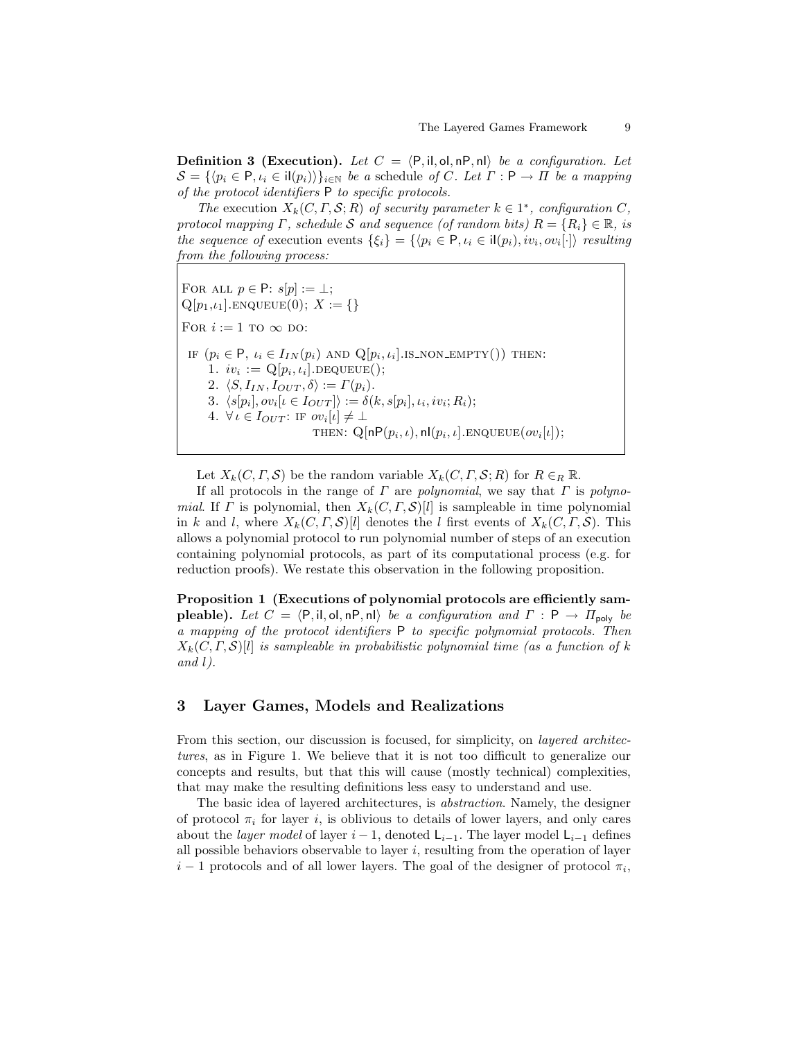**Definition 3 (Execution).** Let  $C = \langle P, \mathsf{il}, \mathsf{ol}, \mathsf{nP}, \mathsf{nl} \rangle$  be a configuration. Let  $S = \{ \langle p_i \in P, \iota_i \in \mathrm{il}(p_i) \rangle \}_{i \in \mathbb{N}}$  be a schedule of C. Let  $\Gamma : \mathsf{P} \to \Pi$  be a mapping of the protocol identifiers P to specific protocols.

The execution  $X_k(C, \Gamma, \mathcal{S}; R)$  of security parameter  $k \in 1^*$ , configuration C, protocol mapping  $\Gamma$ , schedule S and sequence (of random bits)  $R = \{R_i\} \in \mathbb{R}$ , is the sequence of execution events  $\{\xi_i\} = \{\langle p_i \in \mathsf{P}, \iota_i \in \mathsf{i} | (p_i), iv_i, ov_i[\cdot] \rangle \text{ resulting}$ from the following process:

FOR ALL  $p \in \mathsf{P}: s[p] := \bot;$  $Q[p_1, i_1]$ . ENQUEUE $(0); X := \{\}\$ For  $i := 1$  to  $\infty$  do: IF  $(p_i \in \mathsf{P}, \iota_i \in I_{IN}(p_i)$  and  $\mathcal{Q}[p_i, \iota_i]$ . IS\_NON\_EMPTY()) THEN: 1.  $iv_i := \mathbf{Q}[p_i, \iota_i]$ .DEQUEUE(); 2.  $\langle S, I_{IN}, I_{OUT}, \delta \rangle := \Gamma(p_i).$ 3.  $\langle s[p_i], ov_i[\iota \in I_{OUT}] \rangle := \delta(k, s[p_i], \iota_i, iv_i; R_i);$ 4.  $\forall i \in I_{OUT}$ : IF  $ov_i[i] \neq \bot$ THEN:  $Q[nP(p_i, \iota), n|(p_i, \iota].$ ENQUEUE $(ov_i[\iota]);$ 

Let  $X_k(C, \Gamma, \mathcal{S})$  be the random variable  $X_k(C, \Gamma, \mathcal{S}; R)$  for  $R \in_R \mathbb{R}$ .

If all protocols in the range of  $\Gamma$  are polynomial, we say that  $\Gamma$  is polynomial. If  $\Gamma$  is polynomial, then  $X_k(C, \Gamma, \mathcal{S})[l]$  is sampleable in time polynomial in k and l, where  $X_k(C, \Gamma, \mathcal{S})[l]$  denotes the l first events of  $X_k(C, \Gamma, \mathcal{S})$ . This allows a polynomial protocol to run polynomial number of steps of an execution containing polynomial protocols, as part of its computational process (e.g. for reduction proofs). We restate this observation in the following proposition.

Proposition 1 (Executions of polynomial protocols are efficiently sam**pleable).** Let  $C = \langle P, \text{il}, \text{ol}, \text{nP}, \text{nl} \rangle$  be a configuration and  $\Gamma : P \to \Pi_{\text{poly}}$  be a mapping of the protocol identifiers P to specific polynomial protocols. Then  $X_k(C, \Gamma, \mathcal{S})[l]$  is sampleable in probabilistic polynomial time (as a function of k and  $l$ ).

## 3 Layer Games, Models and Realizations

From this section, our discussion is focused, for simplicity, on *layered architec*tures, as in Figure 1. We believe that it is not too difficult to generalize our concepts and results, but that this will cause (mostly technical) complexities, that may make the resulting definitions less easy to understand and use.

The basic idea of layered architectures, is abstraction. Namely, the designer of protocol  $\pi_i$  for layer i, is oblivious to details of lower layers, and only cares about the *layer model* of layer  $i - 1$ , denoted  $\mathsf{L}_{i-1}$ . The layer model  $\mathsf{L}_{i-1}$  defines all possible behaviors observable to layer  $i$ , resulting from the operation of layer  $i-1$  protocols and of all lower layers. The goal of the designer of protocol  $\pi_i$ ,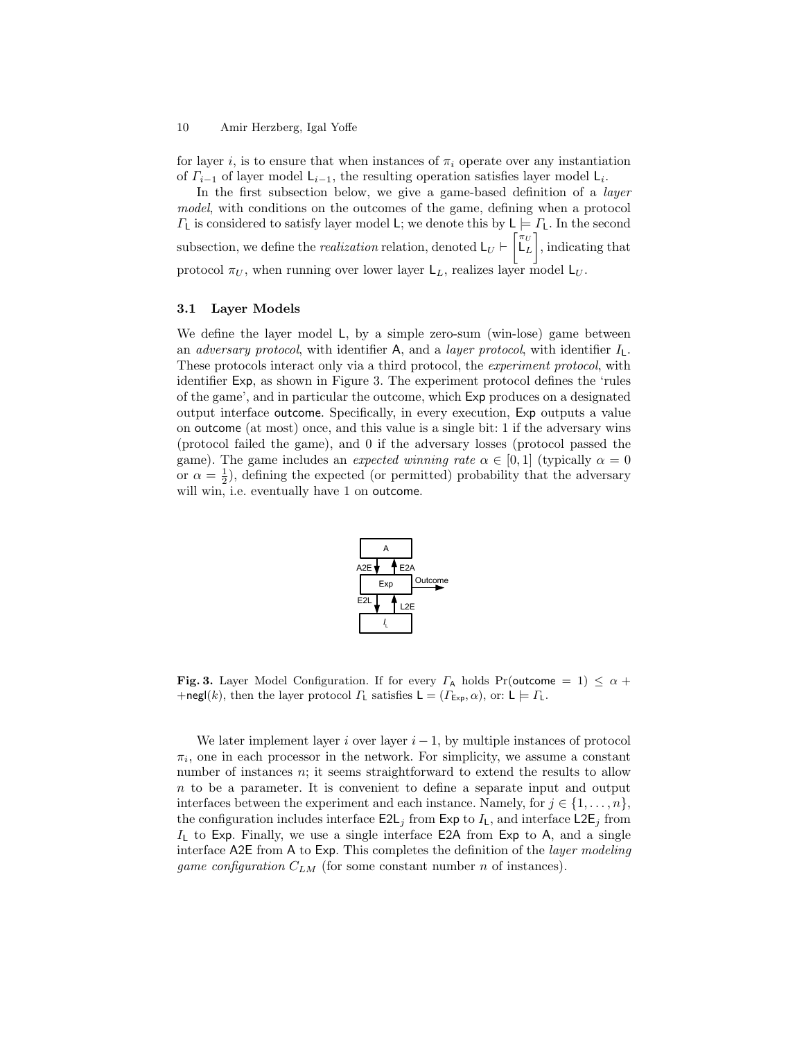for layer i, is to ensure that when instances of  $\pi_i$  operate over any instantiation of  $\Gamma_{i-1}$  of layer model  $\mathsf{L}_{i-1}$ , the resulting operation satisfies layer model  $\mathsf{L}_{i}$ .

In the first subsection below, we give a game-based definition of a layer model, with conditions on the outcomes of the game, defining when a protocol  $\Gamma_{\mathsf{L}}$  is considered to satisfy layer model L; we denote this by  $\mathsf{L} \models \Gamma_{\mathsf{L}}$ . In the second subsection, we define the *realization* relation, denoted  $L_U \vdash \begin{bmatrix} \pi_U \\ L_L \end{bmatrix}$ , indicating that protocol  $\pi_U$ , when running over lower layer  $\mathsf{L}_L$ , realizes layer model  $\mathsf{L}_U$ .

### 3.1 Layer Models

We define the layer model L, by a simple zero-sum (win-lose) game between an *adversary protocol*, with identifier A, and a *layer protocol*, with identifier  $I_1$ . These protocols interact only via a third protocol, the experiment protocol, with identifier Exp, as shown in Figure 3. The experiment protocol defines the 'rules of the game', and in particular the outcome, which Exp produces on a designated output interface outcome. Specifically, in every execution, Exp outputs a value on outcome (at most) once, and this value is a single bit: 1 if the adversary wins (protocol failed the game), and 0 if the adversary losses (protocol passed the game). The game includes an expected winning rate  $\alpha \in [0,1]$  (typically  $\alpha = 0$ or  $\alpha = \frac{1}{2}$ ), defining the expected (or permitted) probability that the adversary will win, i.e. eventually have 1 on outcome.



**Fig. 3.** Layer Model Configuration. If for every  $\Gamma_A$  holds Pr(outcome = 1)  $\leq \alpha +$ +negl(k), then the layer protocol  $\Gamma_{\mathsf{L}}$  satisfies  $\mathsf{L} = (\Gamma_{\mathsf{Exp}}, \alpha)$ , or:  $\mathsf{L} \models \Gamma_{\mathsf{L}}$ .

We later implement layer i over layer  $i - 1$ , by multiple instances of protocol  $\pi_i$ , one in each processor in the network. For simplicity, we assume a constant number of instances  $n$ ; it seems straightforward to extend the results to allow  $n$  to be a parameter. It is convenient to define a separate input and output interfaces between the experiment and each instance. Namely, for  $j \in \{1, \ldots, n\}$ , the configuration includes interface  $E2L_j$  from Exp to  $I_L$ , and interface  $L2E_j$  from  $I_L$  to Exp. Finally, we use a single interface E2A from Exp to A, and a single interface A2E from A to Exp. This completes the definition of the layer modeling *game configuration*  $C_{LM}$  (for some constant number n of instances).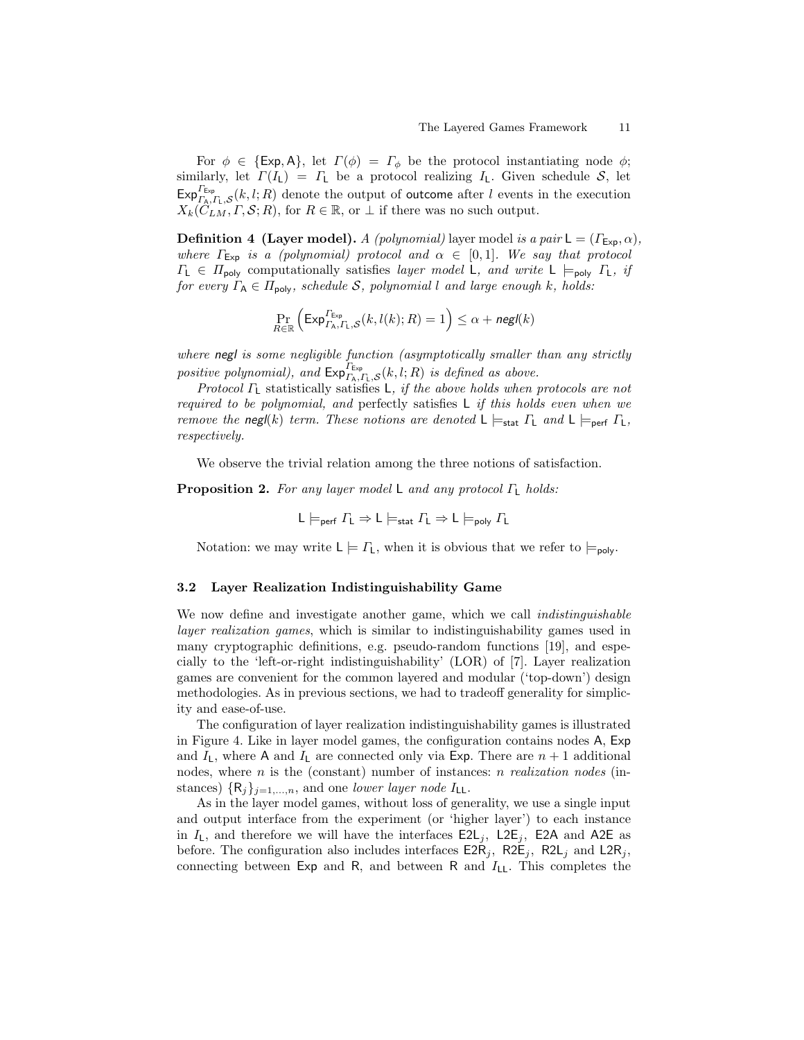For  $\phi \in \{\text{Exp}, \mathsf{A}\},\$ let  $\Gamma(\phi) = \Gamma_{\phi}$  be the protocol instantiating node  $\phi$ ; similarly, let  $\Gamma(I_L) = I_L$  be a protocol realizing  $I_L$ . Given schedule S, let  $\mathsf{Exp}_{\Gamma_{\mathsf{A}},\Gamma_{\mathsf{L}},\mathcal{S}}^{\Gamma_{\mathsf{Exp}}}(k,l;R)$  denote the output of outcome after l events in the execution  $X_k(\widetilde{C}_{LM}, \Gamma, \mathcal{S}; R)$ , for  $R \in \mathbb{R}$ , or  $\perp$  if there was no such output.

**Definition 4 (Layer model).** A (polynomial) layer model is a pair  $L = (\Gamma_{\text{Exp}}, \alpha)$ , where  $\Gamma_{\text{Exp}}$  is a (polynomial) protocol and  $\alpha \in [0,1]$ . We say that protocol  $\Gamma_{\mathsf{L}} \in \Pi_{\mathsf{poly}}$  computationally satisfies *layer model* **L**, and write **L**  $\models_{\mathsf{poly}} \Gamma_{\mathsf{L}}$ , if for every  $\Gamma_A \in \Pi_{\text{poly}}$ , schedule S, polynomial l and large enough k, holds:

$$
\Pr_{R \in \mathbb{R}} \left( \mathsf{Exp}^{P_{\mathsf{Exp}}}_{\Gamma_{\mathsf{A}},\Gamma_{\mathsf{L}},\mathcal{S}}(k,l(k);R) = 1 \right) \le \alpha + \mathsf{negl}(k)
$$

where negl is some negligible function (asymptotically smaller than any strictly positive polynomial), and  $\mathsf{Exp}_{\Gamma_{\mathsf{A}},\Gamma_{\mathsf{L}},\mathcal{S}}^{\Gamma_{\mathsf{Exp}}}(k,l;R)$  is defined as above.

Protocol  $\Gamma$ <sub>L</sub> statistically satisfies L, if the above holds when protocols are not required to be polynomial, and perfectly satisfies L if this holds even when we remove the negl(k) term. These notions are denoted  $L \models_{stat} \Gamma_L$  and  $L \models_{\text{perf}} \Gamma_L$ , respectively.

We observe the trivial relation among the three notions of satisfaction.

**Proposition 2.** For any layer model L and any protocol  $\Gamma_L$  holds:

$$
L \models_{\text{perf}} \Gamma_L \Rightarrow L \models_{\text{stat}} \Gamma_L \Rightarrow L \models_{\text{poly}} \Gamma_L
$$

Notation: we may write  $L \models \Gamma_L$ , when it is obvious that we refer to  $\models_{\text{poly}}$ .

#### 3.2 Layer Realization Indistinguishability Game

We now define and investigate another game, which we call indistinguishable layer realization games, which is similar to indistinguishability games used in many cryptographic definitions, e.g. pseudo-random functions [19], and especially to the 'left-or-right indistinguishability' (LOR) of [7]. Layer realization games are convenient for the common layered and modular ('top-down') design methodologies. As in previous sections, we had to tradeoff generality for simplicity and ease-of-use.

The configuration of layer realization indistinguishability games is illustrated in Figure 4. Like in layer model games, the configuration contains nodes A, Exp and  $I_L$ , where A and  $I_L$  are connected only via Exp. There are  $n + 1$  additional nodes, where *n* is the (constant) number of instances: *n realization nodes* (instances)  $\{R_i\}_{i=1,...,n}$ , and one lower layer node  $I_{\mathsf{LL}}$ .

As in the layer model games, without loss of generality, we use a single input and output interface from the experiment (or 'higher layer') to each instance in  $I_L$ , and therefore we will have the interfaces  $E2L_j$ ,  $E2\bar{E}_j$ ,  $E2\bar{A}$  and  $A2\bar{E}$  as before. The configuration also includes interfaces  $\textsf{E2R}_j$ ,  $\textsf{R2E}_j$ ,  $\textsf{R2L}_j$  and  $\textsf{L2R}_j$ , connecting between Exp and R, and between R and  $I_{LL}$ . This completes the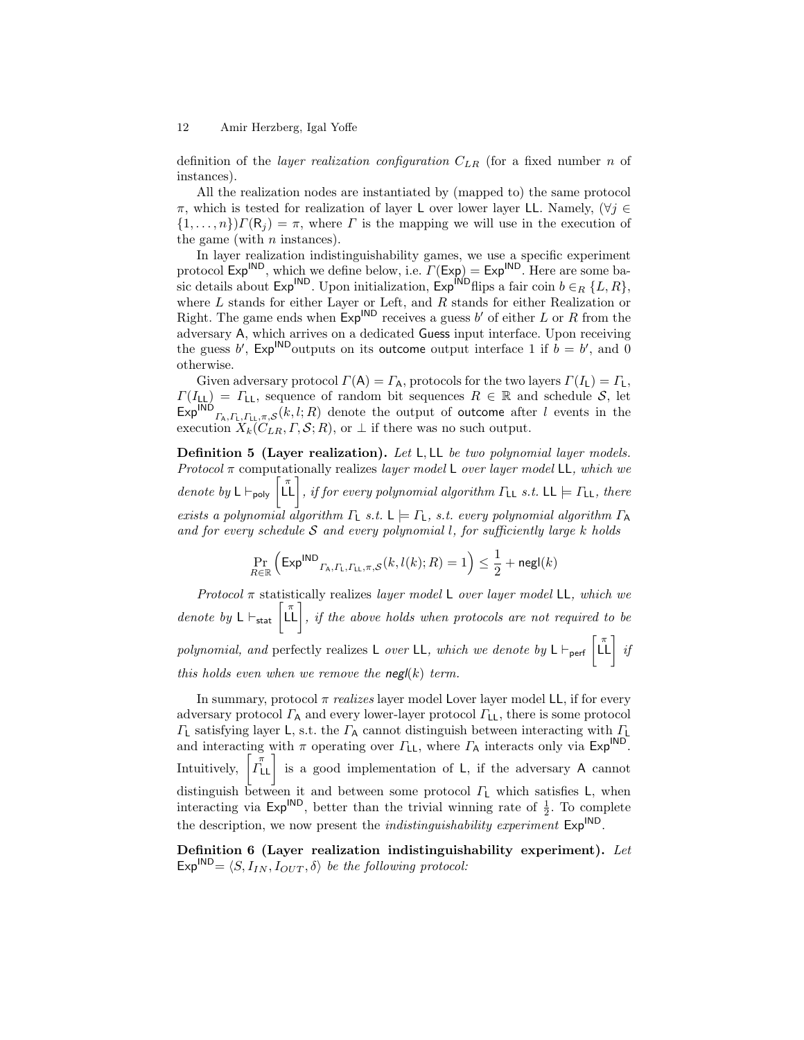definition of the *layer realization configuration*  $C_{LR}$  (for a fixed number n of instances).

All the realization nodes are instantiated by (mapped to) the same protocol  $\pi$ , which is tested for realization of layer L over lower layer LL. Namely,  $(\forall j \in$  $\{1,\ldots,n\}\$ Γ(R<sub>j</sub>) = π, where Γ is the mapping we will use in the execution of the game (with  $n$  instances).

In layer realization indistinguishability games, we use a specific experiment protocol  $Exp^{IND}$ , which we define below, i.e.  $\Gamma(\text{Exp}) = Exp^{IND}$ . Here are some basic details about Exp<sup>IND</sup>. Upon initialization, Exp<sup>IND</sup>flips a fair coin  $b \in_R \{L, R\}$ , where  $L$  stands for either Layer or Left, and  $R$  stands for either Realization or Right. The game ends when  $Exp^{IND}$  receives a guess b' of either L or R from the adversary A, which arrives on a dedicated Guess input interface. Upon receiving the guess b',  $Exp^{IND}$  outputs on its outcome output interface 1 if  $b = b'$ , and 0 otherwise.

Given adversary protocol  $\Gamma(A) = \Gamma_A$ , protocols for the two layers  $\Gamma(I_L) = \Gamma_L$ ,  $\Gamma(I_{\text{LL}}) = \Gamma_{\text{LL}}$ , sequence of random bit sequences  $R \in \mathbb{R}$  and schedule S, let  $\mathsf{Exp}^{\mathsf{IND}}_{r_A,r_L,r_L,\pi,\mathcal{S}}(k,l;R)$  denote the output of outcome after l events in the execution  $X_k(C_{LR}, \Gamma, \mathcal{S}; R)$ , or  $\perp$  if there was no such output.

Definition 5 (Layer realization). Let L, LL be two polynomial layer models. Protocol  $\pi$  computationally realizes *layer model* L over *layer model* LL, which we denote by  $\mathsf{L} \vdash_{\mathsf{poly}} \left[\prod_{i=1}^{\pi} \right]$ , if for every polynomial algorithm  $\Gamma_{\mathsf{LL}}$  s.t.  $\mathsf{LL} \models \Gamma_{\mathsf{LL}}$ , there exists a polynomial algorithm  $\Gamma$ <sub>L</sub> s.t.  $\mathsf{L} \models \Gamma$ <sub>L</sub>, s.t. every polynomial algorithm  $\Gamma$ <sub>A</sub> and for every schedule  $S$  and every polynomial l, for sufficiently large k holds

$$
\Pr_{R \in \mathbb{R}} \left( \mathsf{Exp}^{\textsf{IND}}_{\Gamma_{\textsf{A}},\Gamma_{\textsf{L}},r_{\textsf{LL}},\pi,\mathcal{S}}(k,l(k);R) = 1 \right) \leq \frac{1}{2} + \mathsf{negl}(k)
$$

Protocol  $\pi$  statistically realizes layer model L over layer model LL, which we denote by  $\mathsf{L} \vdash_{\mathsf{stat}} \left[ \begin{matrix} \pi \\ \mathsf{L} \end{matrix} \right]$ , if the above holds when protocols are not required to be polynomial, and perfectly realizes L over LL, which we denote by  $\mathsf{L} \vdash_{\mathsf{perf}} \begin{bmatrix} \pi \\ \mathsf{L} \mathsf{L} \end{bmatrix}$  if this holds even when we remove the  $\mathsf{negl}(k)$  term.

In summary, protocol  $\pi$  realizes layer model Lover layer model LL, if for every adversary protocol  $\Gamma_A$  and every lower-layer protocol  $\Gamma_{LL}$ , there is some protocol  $\Gamma$ <sub>L</sub> satisfying layer L, s.t. the  $\Gamma$ <sub>A</sub> cannot distinguish between interacting with  $\Gamma$ <sub>L</sub> and interacting with  $\pi$  operating over  $\Gamma_{LL}$ , where  $\Gamma_A$  interacts only via  $Exp^{IND}$ . Intuitively,  $\begin{bmatrix} \pi \\ \Gamma_{LL} \end{bmatrix}$  is a good implementation of L, if the adversary A cannot distinguish between it and between some protocol  $\Gamma$ <sub>L</sub> which satisfies L, when interacting via  $Exp^{IND}$ , better than the trivial winning rate of  $\frac{1}{2}$ . To complete the description, we now present the *indistinguishability experiment*  $Exp^{IND}$ .

Definition 6 (Layer realization indistinguishability experiment). Let  $Exp^{IND} = \langle S, I_{IN}, I_{OUT}, \delta \rangle$  be the following protocol: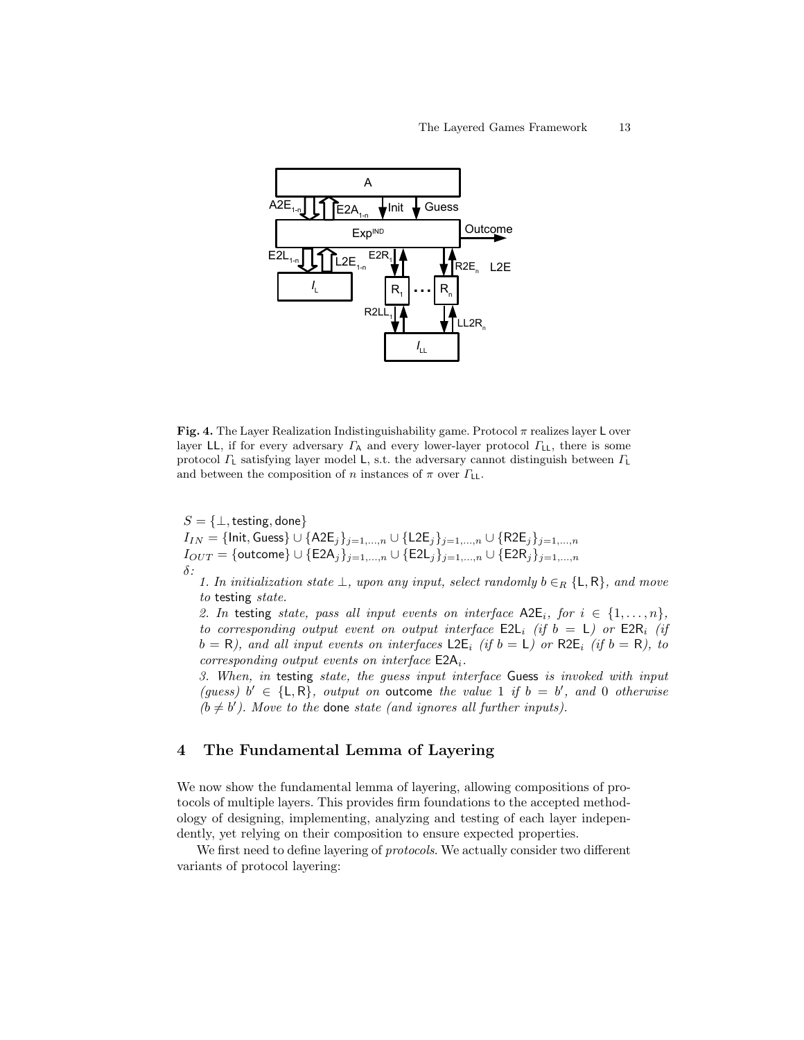

Fig. 4. The Layer Realization Indistinguishability game. Protocol  $\pi$  realizes layer L over layer LL, if for every adversary  $\Gamma_A$  and every lower-layer protocol  $\Gamma_{LL}$ , there is some protocol  $\Gamma$ <sub>L</sub> satisfying layer model L, s.t. the adversary cannot distinguish between  $\Gamma$ <sub>L</sub> and between the composition of n instances of  $\pi$  over  $\Gamma_{LL}$ .

 $S = \{\perp, \text{testing}, \text{done}\}\$  $I_{IN}=\{\mathsf{Init}, \mathsf{Guess}\} \cup \{\mathsf{A2E}_j\}_{j=1,...,n} \cup \{\mathsf{L2E}_j\}_{j=1,...,n} \cup \{\mathsf{R2E}_j\}_{j=1,...,n}$  $I_{OUT} = \{\textsf{outcome}\} \cup \{\textsf{E2A}_j\}_{j=1,...,n} \cup \{\textsf{E2L}_j\}_{j=1,...,n} \cup \{\textsf{E2R}_j\}_{j=1,...,n}$  $\delta$  :

1. In initialization state  $\bot$ , upon any input, select randomly  $b \in_R {\mathcal{L}, R}$ , and move to testing state.

2. In testing state, pass all input events on interface  $\Delta 2E_i$ , for  $i \in \{1, \ldots, n\}$ , to corresponding output event on output interface  $E2L_i$  (if  $b = L$ ) or  $E2R_i$  (if  $b = R$ ), and all input events on interfaces L2E<sub>i</sub> (if  $b = L$ ) or R2E<sub>i</sub> (if  $b = R$ ), to corresponding output events on interface  $E2A_i$ .

3. When, in testing state, the guess input interface Guess is invoked with input (guess)  $b' \in \{L, R\}$ , output on outcome the value 1 if  $b = b'$ , and 0 otherwise  $(b \neq b')$ . Move to the done state (and ignores all further inputs).

# 4 The Fundamental Lemma of Layering

We now show the fundamental lemma of layering, allowing compositions of protocols of multiple layers. This provides firm foundations to the accepted methodology of designing, implementing, analyzing and testing of each layer independently, yet relying on their composition to ensure expected properties.

We first need to define layering of *protocols*. We actually consider two different variants of protocol layering: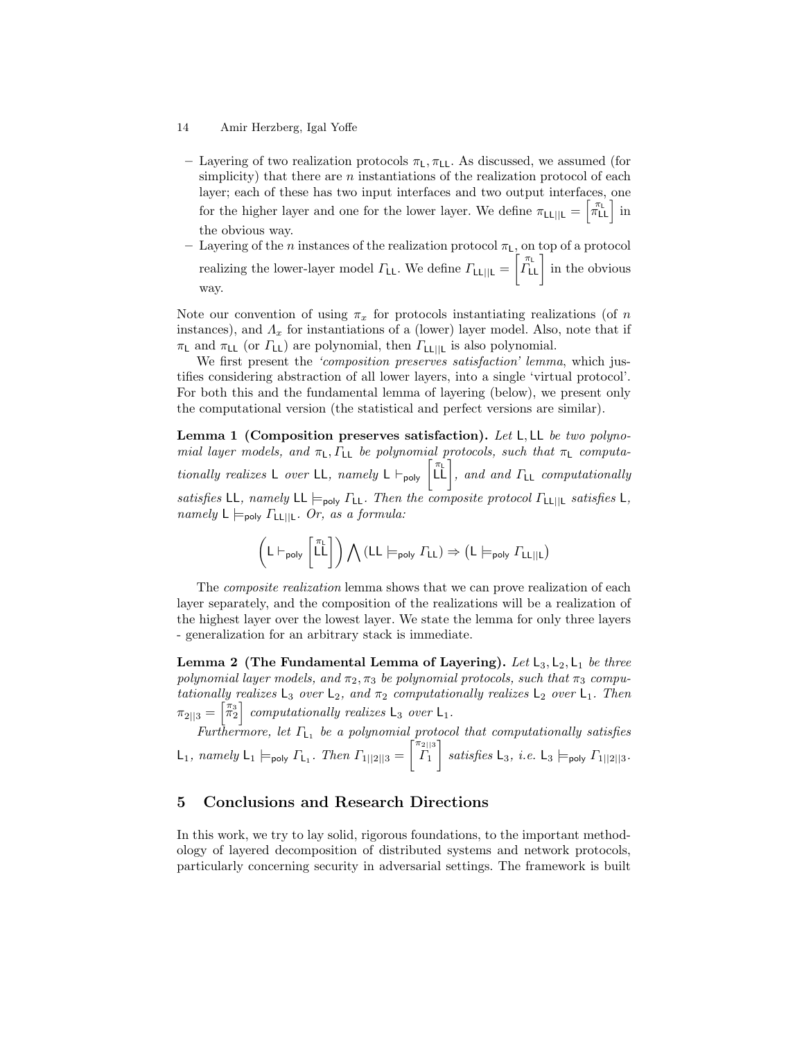- 14 Amir Herzberg, Igal Yoffe
	- Layering of two realization protocols  $\pi_L$ ,  $\pi_{LL}$ . As discussed, we assumed (for simplicity) that there are  $n$  instantiations of the realization protocol of each layer; each of these has two input interfaces and two output interfaces, one for the higher layer and one for the lower layer. We define  $\pi_{LL||L} = \begin{bmatrix} \pi_L \\ \pi_{LL} \end{bmatrix}$  in the obvious way.
	- Layering of the *n* instances of the realization protocol  $\pi$ <sub>L</sub>, on top of a protocol realizing the lower-layer model  $\Gamma_{LL}$ . We define  $\Gamma_{LL||L} = \begin{bmatrix} \pi_L \\ \Gamma_{LL} \end{bmatrix}$  in the obvious way.

Note our convention of using  $\pi_x$  for protocols instantiating realizations (of n instances), and  $\Lambda_x$  for instantiations of a (lower) layer model. Also, note that if  $\pi$ <sub>L</sub> and  $\pi$ <sub>LL</sub> (or  $\Gamma$ <sub>LL</sub>) are polynomial, then  $\Gamma$ <sub>LL||L</sub> is also polynomial.

We first present the 'composition preserves satisfaction' lemma, which justifies considering abstraction of all lower layers, into a single 'virtual protocol'. For both this and the fundamental lemma of layering (below), we present only the computational version (the statistical and perfect versions are similar).

Lemma 1 (Composition preserves satisfaction). Let L, LL be two polynomial layer models, and  $\pi_L$ ,  $\Gamma_{LL}$  be polynomial protocols, such that  $\pi_L$  computationally realizes L over LL, namely  $L \vdash_{poly} [\tilde{L} \tilde{L}],$  and and  $\Gamma_{LL}$  computationally satisfies LL, namely LL  $\models_{poly} \Gamma_{LL}$ . Then the composite protocol  $\Gamma_{LL||L}$  satisfies L, namely  $L \models_{\text{poly}} \Gamma_{\text{LL}||\text{L}}$ . Or, as a formula:

$$
\left(\mathsf{L}\vdash_{\mathsf{poly}}\left[\begin{matrix}\pi_\mathsf{L}\\\mathsf{L}\end{matrix}\right]\right)\bigwedge (\mathsf{L}\mathsf{L}\models_{\mathsf{poly}}\varGamma_{\mathsf{L}\mathsf{L}})\Rightarrow \left(\mathsf{L}\models_{\mathsf{poly}}\varGamma_{\mathsf{L}\mathsf{L}||\mathsf{L}}\right)
$$

The *composite realization* lemma shows that we can prove realization of each layer separately, and the composition of the realizations will be a realization of the highest layer over the lowest layer. We state the lemma for only three layers - generalization for an arbitrary stack is immediate.

Lemma 2 (The Fundamental Lemma of Layering). Let  $L_3, L_2, L_1$  be three polynomial layer models, and  $\pi_2, \pi_3$  be polynomial protocols, such that  $\pi_3$  computationally realizes  $L_3$  over  $L_2$ , and  $\pi_2$  computationally realizes  $L_2$  over  $L_1$ . Then  $\pi_{2||3} = \begin{bmatrix} \pi_3 \\ \pi_2 \end{bmatrix}$  computationally realizes  $\mathsf{L}_3$  over  $\mathsf{L}_1$ .

Furthermore, let  $\Gamma_{L_1}$  be a polynomial protocol that computationally satisfies  $\mathsf{L}_1$ , namely  $\mathsf{L}_1 \models_{\mathsf{poly}} \Gamma_{\mathsf{L}_1}$ . Then  $\Gamma_{1||2||3} =$  $\begin{bmatrix} \pi_{2||3} \\ \Gamma_1 \end{bmatrix}$  satisfies  $\mathsf{L}_3$ , *i.e.*  $\mathsf{L}_3 \models_{\text{poly}} \Gamma_{1||2||3}$ .

### 5 Conclusions and Research Directions

In this work, we try to lay solid, rigorous foundations, to the important methodology of layered decomposition of distributed systems and network protocols, particularly concerning security in adversarial settings. The framework is built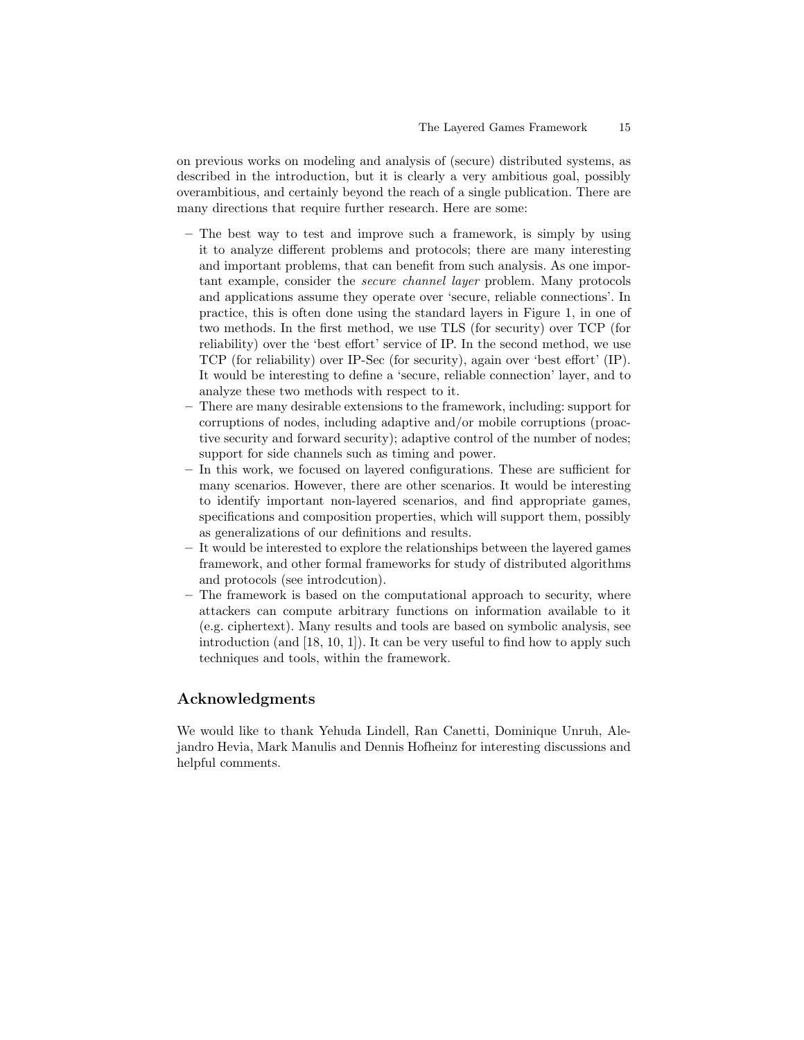on previous works on modeling and analysis of (secure) distributed systems, as described in the introduction, but it is clearly a very ambitious goal, possibly overambitious, and certainly beyond the reach of a single publication. There are many directions that require further research. Here are some:

- The best way to test and improve such a framework, is simply by using it to analyze different problems and protocols; there are many interesting and important problems, that can benefit from such analysis. As one important example, consider the secure channel layer problem. Many protocols and applications assume they operate over 'secure, reliable connections'. In practice, this is often done using the standard layers in Figure 1, in one of two methods. In the first method, we use TLS (for security) over TCP (for reliability) over the 'best effort' service of IP. In the second method, we use TCP (for reliability) over IP-Sec (for security), again over 'best effort' (IP). It would be interesting to define a 'secure, reliable connection' layer, and to analyze these two methods with respect to it.
- There are many desirable extensions to the framework, including: support for corruptions of nodes, including adaptive and/or mobile corruptions (proactive security and forward security); adaptive control of the number of nodes; support for side channels such as timing and power.
- In this work, we focused on layered configurations. These are sufficient for many scenarios. However, there are other scenarios. It would be interesting to identify important non-layered scenarios, and find appropriate games, specifications and composition properties, which will support them, possibly as generalizations of our definitions and results.
- It would be interested to explore the relationships between the layered games framework, and other formal frameworks for study of distributed algorithms and protocols (see introdcution).
- The framework is based on the computational approach to security, where attackers can compute arbitrary functions on information available to it (e.g. ciphertext). Many results and tools are based on symbolic analysis, see introduction (and [18, 10, 1]). It can be very useful to find how to apply such techniques and tools, within the framework.

# Acknowledgments

We would like to thank Yehuda Lindell, Ran Canetti, Dominique Unruh, Alejandro Hevia, Mark Manulis and Dennis Hofheinz for interesting discussions and helpful comments.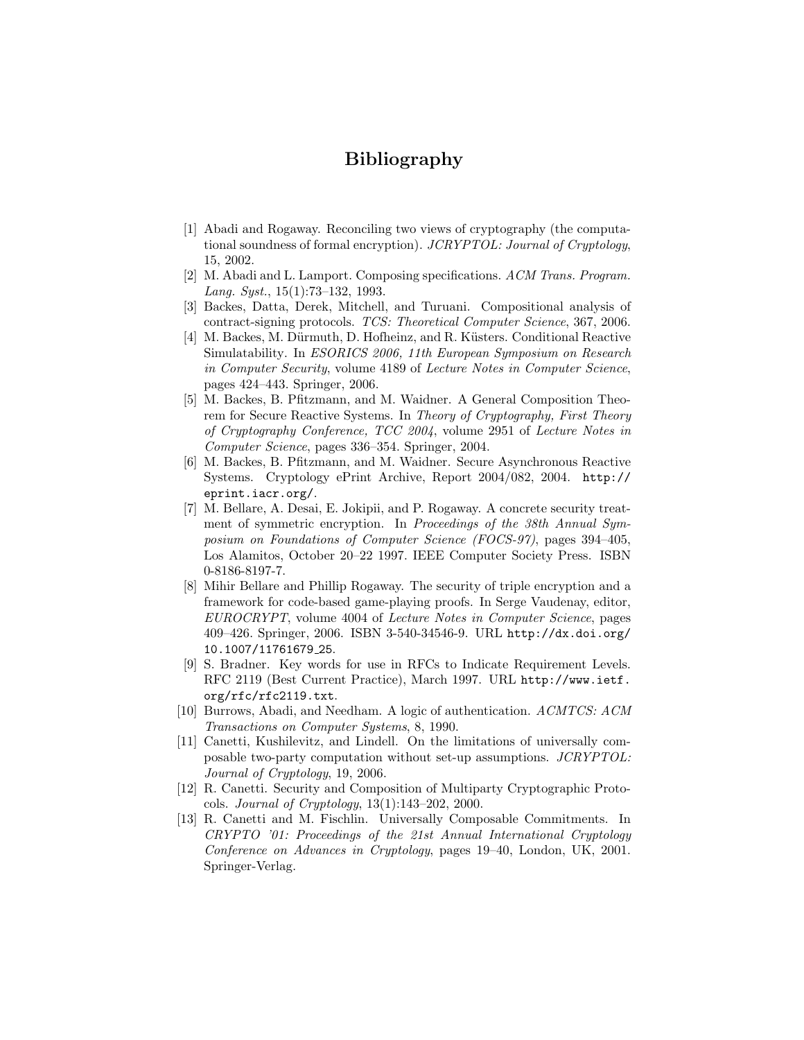# Bibliography

- [1] Abadi and Rogaway. Reconciling two views of cryptography (the computational soundness of formal encryption). JCRYPTOL: Journal of Cryptology, 15, 2002.
- [2] M. Abadi and L. Lamport. Composing specifications. ACM Trans. Program. Lang. Syst., 15(1):73–132, 1993.
- [3] Backes, Datta, Derek, Mitchell, and Turuani. Compositional analysis of contract-signing protocols. TCS: Theoretical Computer Science, 367, 2006.
- [4] M. Backes, M. Dürmuth, D. Hofheinz, and R. Küsters. Conditional Reactive Simulatability. In ESORICS 2006, 11th European Symposium on Research in Computer Security, volume 4189 of Lecture Notes in Computer Science, pages 424–443. Springer, 2006.
- [5] M. Backes, B. Pfitzmann, and M. Waidner. A General Composition Theorem for Secure Reactive Systems. In Theory of Cryptography, First Theory of Cryptography Conference, TCC 2004, volume 2951 of Lecture Notes in Computer Science, pages 336–354. Springer, 2004.
- [6] M. Backes, B. Pfitzmann, and M. Waidner. Secure Asynchronous Reactive Systems. Cryptology ePrint Archive, Report 2004/082, 2004. http:// eprint.iacr.org/.
- [7] M. Bellare, A. Desai, E. Jokipii, and P. Rogaway. A concrete security treatment of symmetric encryption. In Proceedings of the 38th Annual Symposium on Foundations of Computer Science (FOCS-97), pages 394–405, Los Alamitos, October 20–22 1997. IEEE Computer Society Press. ISBN 0-8186-8197-7.
- [8] Mihir Bellare and Phillip Rogaway. The security of triple encryption and a framework for code-based game-playing proofs. In Serge Vaudenay, editor, EUROCRYPT, volume 4004 of Lecture Notes in Computer Science, pages 409–426. Springer, 2006. ISBN 3-540-34546-9. URL http://dx.doi.org/ 10.1007/11761679 25.
- [9] S. Bradner. Key words for use in RFCs to Indicate Requirement Levels. RFC 2119 (Best Current Practice), March 1997. URL http://www.ietf. org/rfc/rfc2119.txt.
- [10] Burrows, Abadi, and Needham. A logic of authentication. ACMTCS: ACM Transactions on Computer Systems, 8, 1990.
- [11] Canetti, Kushilevitz, and Lindell. On the limitations of universally composable two-party computation without set-up assumptions. JCRYPTOL: Journal of Cryptology, 19, 2006.
- [12] R. Canetti. Security and Composition of Multiparty Cryptographic Protocols. *Journal of Cryptology*,  $13(1):143-202$ ,  $2000$ .
- [13] R. Canetti and M. Fischlin. Universally Composable Commitments. In CRYPTO '01: Proceedings of the 21st Annual International Cryptology Conference on Advances in Cryptology, pages 19–40, London, UK, 2001. Springer-Verlag.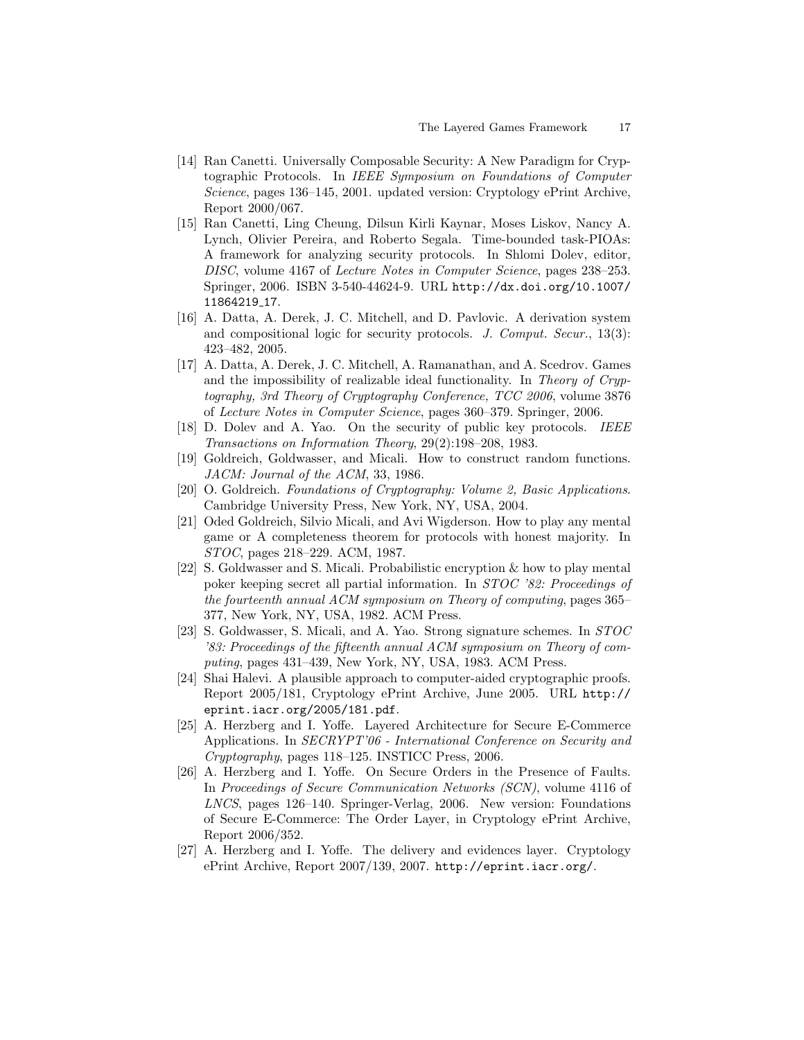- [14] Ran Canetti. Universally Composable Security: A New Paradigm for Cryptographic Protocols. In IEEE Symposium on Foundations of Computer Science, pages 136–145, 2001. updated version: Cryptology ePrint Archive, Report 2000/067.
- [15] Ran Canetti, Ling Cheung, Dilsun Kirli Kaynar, Moses Liskov, Nancy A. Lynch, Olivier Pereira, and Roberto Segala. Time-bounded task-PIOAs: A framework for analyzing security protocols. In Shlomi Dolev, editor, DISC, volume 4167 of Lecture Notes in Computer Science, pages 238–253. Springer, 2006. ISBN 3-540-44624-9. URL http://dx.doi.org/10.1007/ 11864219 17.
- [16] A. Datta, A. Derek, J. C. Mitchell, and D. Pavlovic. A derivation system and compositional logic for security protocols. J. Comput. Secur., 13(3): 423–482, 2005.
- [17] A. Datta, A. Derek, J. C. Mitchell, A. Ramanathan, and A. Scedrov. Games and the impossibility of realizable ideal functionality. In Theory of Cryptography, 3rd Theory of Cryptography Conference, TCC 2006, volume 3876 of Lecture Notes in Computer Science, pages 360–379. Springer, 2006.
- [18] D. Dolev and A. Yao. On the security of public key protocols. IEEE Transactions on Information Theory, 29(2):198–208, 1983.
- [19] Goldreich, Goldwasser, and Micali. How to construct random functions. JACM: Journal of the ACM, 33, 1986.
- [20] O. Goldreich. Foundations of Cryptography: Volume 2, Basic Applications. Cambridge University Press, New York, NY, USA, 2004.
- [21] Oded Goldreich, Silvio Micali, and Avi Wigderson. How to play any mental game or A completeness theorem for protocols with honest majority. In STOC, pages 218–229. ACM, 1987.
- [22] S. Goldwasser and S. Micali. Probabilistic encryption & how to play mental poker keeping secret all partial information. In STOC '82: Proceedings of the fourteenth annual ACM symposium on Theory of computing, pages 365– 377, New York, NY, USA, 1982. ACM Press.
- [23] S. Goldwasser, S. Micali, and A. Yao. Strong signature schemes. In STOC '83: Proceedings of the fifteenth annual ACM symposium on Theory of computing, pages 431–439, New York, NY, USA, 1983. ACM Press.
- [24] Shai Halevi. A plausible approach to computer-aided cryptographic proofs. Report 2005/181, Cryptology ePrint Archive, June 2005. URL http:// eprint.iacr.org/2005/181.pdf.
- [25] A. Herzberg and I. Yoffe. Layered Architecture for Secure E-Commerce Applications. In SECRYPT'06 - International Conference on Security and Cryptography, pages 118–125. INSTICC Press, 2006.
- [26] A. Herzberg and I. Yoffe. On Secure Orders in the Presence of Faults. In Proceedings of Secure Communication Networks (SCN), volume 4116 of LNCS, pages 126–140. Springer-Verlag, 2006. New version: Foundations of Secure E-Commerce: The Order Layer, in Cryptology ePrint Archive, Report 2006/352.
- [27] A. Herzberg and I. Yoffe. The delivery and evidences layer. Cryptology ePrint Archive, Report 2007/139, 2007. http://eprint.iacr.org/.